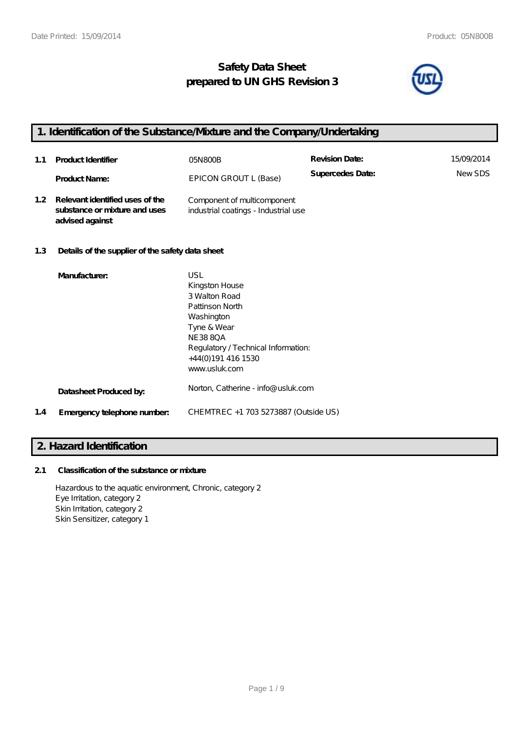## **Safety Data Sheet prepared to UN GHS Revision 3**



## **1. Identification of the Substance/Mixture and the Company/Undertaking**

Washington Tyne & Wear NE38 8QA

**Datasheet Produced by:** Norton, Catherine - info@usluk.com

**1.4 Emergency telephone number:** CHEMTREC +1 703 5273887 (Outside US)

+44(0)191 416 1530 www.usluk.com

| 1.1              | <b>Product Identifier</b>                                                           | 05N800B                                                             | <b>Revision Date:</b> | 15/09/2014 |
|------------------|-------------------------------------------------------------------------------------|---------------------------------------------------------------------|-----------------------|------------|
|                  | <b>Product Name:</b>                                                                | EPICON GROUT L (Base)                                               | Supercedes Date:      | NewSDS     |
| 1.2 <sub>2</sub> | Relevant identified uses of the<br>substance or mixture and uses<br>advised against | Component of multicomponent<br>industrial coatings - Industrial use |                       |            |
| 1.3              | Details of the supplier of the safety data sheet                                    |                                                                     |                       |            |
|                  | Manufacturer:                                                                       | USL<br>Kingston House<br>3 Walton Road<br>Pattinson North           |                       |            |

Regulatory / Technical Information:

### **2. Hazard Identification**

### **2.1 Classification of the substance or mixture**

Hazardous to the aquatic environment, Chronic, category 2 Eye Irritation, category 2 Skin Irritation, category 2 Skin Sensitizer, category 1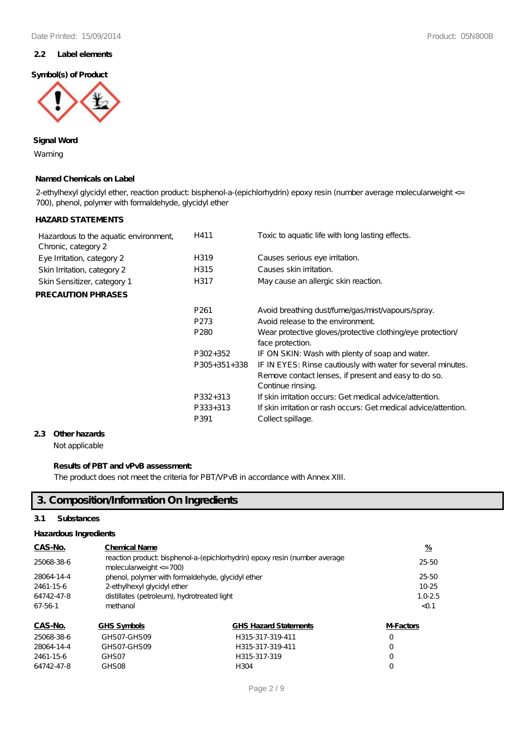### **2.2 Label elements**

### **Symbol(s) of Product**



### **Signal Word**

Warning

### **Named Chemicals on Label**

2-ethylhexyl glycidyl ether, reaction product bisphenol-a-(epichlorhydrin) epoxy resin (number average molecularweight <= 700), phenol, polymer with formaldehyde, glycidyl ether

### **HAZARD STATEMENTS**

| Hazardous to the aquatic environment,<br>Chronic, category 2 | H411             | Toxic to aquatic life with long lasting effects.                                                                                          |
|--------------------------------------------------------------|------------------|-------------------------------------------------------------------------------------------------------------------------------------------|
| Eye Irritation, category 2                                   | H319             | Causes serious eye irritation.                                                                                                            |
| Skin Irritation, category 2                                  | H315             | Causes skin irritation.                                                                                                                   |
| Skin Sensitizer, category 1                                  | H317             | May cause an allergic skin reaction.                                                                                                      |
| <b>PRECAUTION PHRASES</b>                                    |                  |                                                                                                                                           |
|                                                              | P <sub>261</sub> | Avoid breathing dust/fume/gas/mist/vapours/spray.                                                                                         |
|                                                              | P273             | Avoid release to the environment.                                                                                                         |
|                                                              | P <sub>280</sub> | Wear protective gloves/protective clothing/eye protection/<br>face protection.                                                            |
|                                                              | P302+352         | IF ON SKIN: Wash with plenty of soap and water.                                                                                           |
|                                                              | $P305+351+338$   | IF IN EYES: Rinse cautiously with water for several minutes.<br>Remove contact lenses, if present and easy to do so.<br>Continue rinsing. |
|                                                              | P332+313         | If skin irritation occurs: Get medical advice attention.                                                                                  |
|                                                              | P333+313         | If skin irritation or rash occurs: Get medical advice attention.                                                                          |
|                                                              | P391             | Collect spillage.                                                                                                                         |
|                                                              |                  |                                                                                                                                           |

### **2.3 Other hazards**

Not applicable

### **Results of PBT and vPvB assessment:**

The product does not meet the criteria for PBT/VPvB in accordance with Annex XIII.

## **3. Composition/Information On Ingredients**

### **3.1 Substances**

#### **Hazardous Ingredients**

| CAS-No.    | <b>Chemical Name</b>                                                                                     |                              |                  |
|------------|----------------------------------------------------------------------------------------------------------|------------------------------|------------------|
| 25068-38-6 | reaction product bisphenol-a-(epichlorhydrin) epoxy resin (number average<br>molecularweight $\leq$ 700) |                              |                  |
| 28064-14-4 | $25 - 50$                                                                                                |                              |                  |
| 2461-15-6  | 2-ethylhexyl glycidyl ether                                                                              |                              |                  |
| 64742-47-8 | distillates (petroleum), hydrotreated light                                                              |                              |                  |
| 67-56-1    | methanol                                                                                                 |                              |                  |
| CAS-No.    | <b>GHS Symbols</b>                                                                                       | <b>GHS Hazard Statements</b> | <b>M-Factors</b> |
| 25068-38-6 | GHSO7_GHSOQ                                                                                              | H 315-317-310-411            | $\left( \right)$ |

| 25068-38-6 | GHSO7-GHSO9 | H315-317-319-411 | O        |
|------------|-------------|------------------|----------|
| 28064-14-4 | GHSO7-GHSO9 | H315-317-319-411 | $\Omega$ |
| 2461-15-6  | GHS 07      | H315-317-319     | $\Omega$ |
| 64742-47-8 | GHSO8       | H304             |          |
|            |             |                  |          |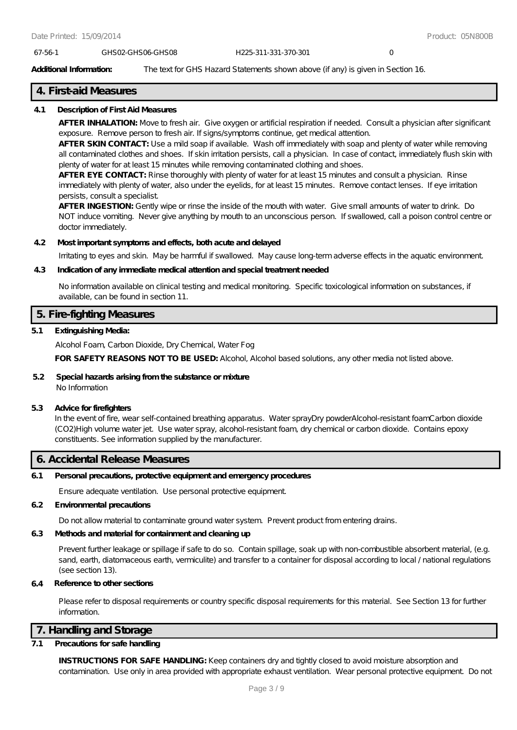#### 67-56-1 GHS02-GHS06-GHS08 H225-311-331-370-301 0

#### **Additional Information:** The text for GHS Hazard Statements shown above (if any) is given in Section 16.

### **4. First-aid Measures**

#### **4.1 Description of First Aid Measures**

**AFTER INHALATION:** Move to fresh air. Give oxygen or artificial respiration if needed. Consult a physician after significant exposure. Remove person to fresh air. If signs/symptoms continue, get medical attention.

**AFTER SKIN CONTACT:** Use a mild soap if available. Wash off immediately with soap and plenty of water while removing all contaminated clothes and shoes. If skin irritation persists, call a physician. In case of contact, immediately flush skin with plenty of water for at least 15 minutes while removing contaminated clothing and shoes.

**AFTER EYE CONTACT:** Rinse thoroughly with plenty of water for at least 15 minutes and consult a physician. Rinse immediately with plenty of water, also under the eyelids, for at least 15 minutes. Remove contact lenses. If eye irritation persists, consult a specialist.

**AFTER INGESTION:** Gently wipe or rinse the inside of the mouth with water. Give small amounts of water to drink. Do NOT induce vomiting. Never give anything by mouth to an unconscious person. If swallowed, call a poison control centre or doctor immediately.

#### **4.2 Most important symptoms and effects, both acute and delayed**

Irritating to eyes and skin. May be harmful if swallowed. May cause long-term adverse effects in the aquatic environment.

#### **4.3 Indication of any immediate medical attention and special treatment needed**

No information available on clinical testing and medical monitoring. Specific toxicological information on substances, if available, can be found in section 11.

### **5. Fire-fighting Measures**

#### **5.1 Extinguishing Media:**

Alcohol Foam, Carbon Dioxide, Dry Chemical, Water Fog

FOR SAFETY REASONS NOT TO BE USED: Alcohol, Alcohol based solutions, any other media not listed above.

#### **5.2 Special hazards arising from the substance or mixture** No Information

#### **5.3 Advice for firefighters**

In the event of fire, wear self-contained breathing apparatus. Water sprayDry powderAlcohol-resistant foamCarbon dioxide (CO2)High volume water jet. Use water spray, alcohol-resistant foam, dry chemical or carbon dioxide. Contains epoxy constituents. See information supplied by the manufacturer.

### **6. Accidental Release Measures**

#### **6.1 Personal precautions, protective equipment and emergency procedures**

Ensure adequate ventilation. Use personal protective equipment.

#### **6.2 Environmental precautions**

Do not allow material to contaminate ground water system. Prevent product from entering drains.

### **6.3 Methods and material for containment and cleaning up**

Prevent further leakage or spillage if safe to do so. Contain spillage, soak up with non-combustible absorbent material, (e.g. sand, earth, diatomaceous earth, vermiculite) and transfer to a container for disposal according to local / national regulations (see section 13).

### **6.4 Reference to other sections**

Please refer to disposal requirements or country specific disposal requirements for this material. See Section 13 for further information.

### **7. Handling and Storage**

### **7.1 Precautions for safe handling**

**INSTRUCTIONS FOR SAFE HANDLING:** Keep containers dry and tightly closed to avoid moisture absorption and contamination. Use only in area provided with appropriate exhaust ventilation. Wear personal protective equipment. Do not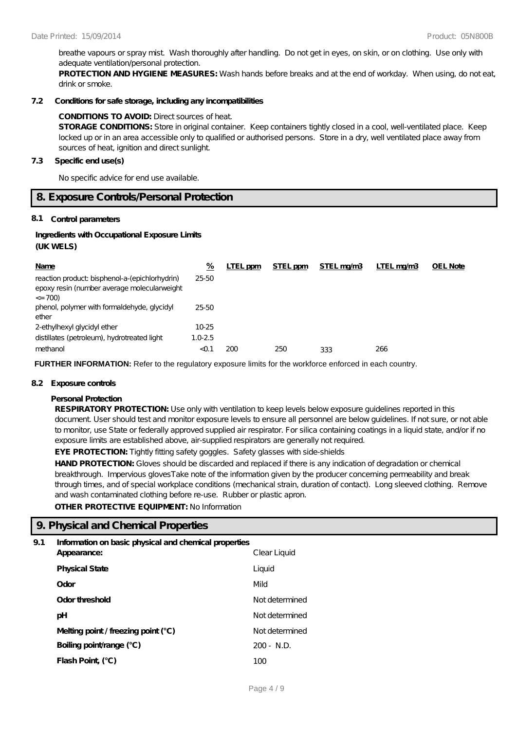breathe vapours or spray mist. Wash thoroughly after handling. Do not get in eyes, on skin, or on clothing. Use only with adequate ventilation/personal protection.

**PROTECTION AND HYGIENE MEASURES:** Wash hands before breaks and at the end of workday. When using, do not eat, drink or smoke.

#### **7.2 Conditions for safe storage, including any incompatibilities**

#### **CONDITIONS TO AVOID:** Direct sources of heat.

**STORAGE CONDITIONS:** Store in original container. Keep containers tightly closed in a cool, well-ventilated place. Keep locked up or in an area accessible only to qualified or authorised persons. Store in a dry, well ventilated place away from sources of heat, ignition and direct sunlight.

#### **7.3 Specific end use(s)**

No specific advice for end use available.

### **8. Exposure Controls/Personal Protection**

#### **8.1 Control parameters**

#### **Ingredients with Occupational Exposure Limits (UK WELS)**

| Name                                                                                                        | %           | LTEL ppm | STEL ppm | STEL mg/m3 | LTEL mg/m3 | <b>OEL Note</b> |
|-------------------------------------------------------------------------------------------------------------|-------------|----------|----------|------------|------------|-----------------|
| reaction product bisphenol-a-(epichlorhydrin)<br>epoxy resin (number average molecularweight<br>$\leq$ 700) | $25 - 50$   |          |          |            |            |                 |
| phenol, polymer with formaldehyde, glycidyl<br>ether                                                        | 25-50       |          |          |            |            |                 |
| 2-ethylhexyl glycidyl ether                                                                                 | 10-25       |          |          |            |            |                 |
| distillates (petroleum), hydrotreated light                                                                 | $1.0 - 2.5$ |          |          |            |            |                 |
| methanol                                                                                                    | $<$ 0.1     | 200      | 250      | 333        | 266        |                 |

**FURTHER INFORMATION:** Refer to the regulatory exposure limits for the workforce enforced in each country.

#### **8.2 Exposure controls**

#### **Personal Protection**

**RESPIRATORY PROTECTION:** Use only with ventilation to keep levels below exposure guidelines reported in this document. User should test and monitor exposure levels to ensure all personnel are below guidelines. If not sure, or not able to monitor, use State or federally approved supplied air respirator. For silica containing coatings in a liquid state, and/or if no exposure limits are established above, air-supplied respirators are generally not required.

**EYE PROTECTION:** Tightly fitting safety goggles. Safety glasses with side-shields

HAND PROTECTION: Gloves should be discarded and replaced if there is any indication of degradation or chemical breakthrough. Impervious glovesTake note of the information given by the producer concerning permeability and break through times, and of special workplace conditions (mechanical strain, duration of contact). Long sleeved clothing. Remove and wash contaminated clothing before re-use. Rubber or plastic apron.

**OTHER PROTECTIVE EQUIPMENT:** No Information

### **9. Physical and Chemical Properties**

### **9.1 Information on basic physical and chemical properties**

| Appearance:                           | Clear Liquid    |
|---------------------------------------|-----------------|
| <b>Physical State</b>                 | Liquid          |
| Odor                                  | Mild            |
| Odor threshold                        | Not determined  |
| рH                                    | Not determined  |
| Melting point / freezing point $(°C)$ | Not de termined |
| Boiling point/range (°C)              | $200 - N.D.$    |
| Flash Point (°C)                      | 100             |
|                                       |                 |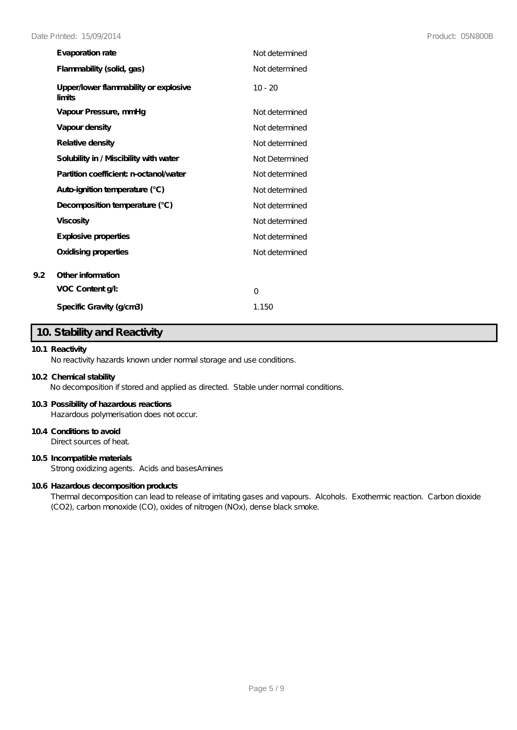| Evaporation rate                                | Not de termined |
|-------------------------------------------------|-----------------|
| Flammability (solid, gas)                       | Not de termined |
| Upper/lower flammability or explosive<br>limits | $10 - 20$       |
| Vapour Pressure, mmHq                           | Not determined  |
| Vapour density                                  | Not de termined |
| Relative density                                | Not de termined |
| Solubility in / Miscibility with water          | Not Determined  |
| Partition coefficient n-octanol/water           | Not determined  |
| Auto-ignition temperature (°C)                  | Not determined  |
| Decomposition temperature (°C)                  | Not de termined |
| <b>Viscosity</b>                                | Not de termined |
| Explosive properties                            | Not de termined |
| Oxidising properties                            | Not determined  |
| Other information                               |                 |
| VOC Content g/l:                                | O               |
| Specific Gravity (g/cm3)                        | 1.150           |

### **10. Stability and Reactivity**

### **10.1 Reactivity**

**9.2 Other information**

No reactivity hazards known under normal storage and use conditions.

#### **10.2 Chemical stability**

No decomposition if stored and applied as directed. Stable under normal conditions.

#### **10.3 Possibility of hazardous reactions**

Hazardous polymerisation does not occur.

### **10.4 Conditions to avoid**

Direct sources of heat.

### **10.5 Incompatible materials**

Strong oxidizing agents. Acids and basesAmines

#### **10.6 Hazardous decomposition products**

Thermal decomposition can lead to release of irritating gases and vapours. Alcohols. Exothermic reaction. Carbon dioxide (CO2), carbon monoxide (CO), oxides of nitrogen (NOx), dense black smoke.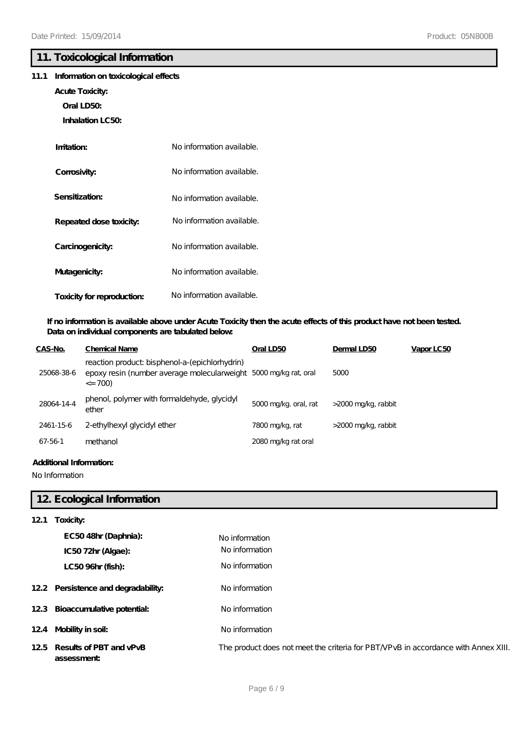### **11. Toxicological Information**

### **11.1 Information on toxicological effects**

- **Acute Toxicity:**
	- **Oral LD50:**
	- **Inhalation LC50:**

| Imitation:                 | No information available. |
|----------------------------|---------------------------|
| Corrosivity:               | No information available. |
| Sensitization:             | No information available. |
| Repeated dose toxicity:    | No information available. |
| Carcinogenicity:           | No information available. |
| Mutagenicity:              | No information available. |
| Toxicity for reproduction: | No information available. |

### **If no information is available above under Acute Toxicity then the acute effects of this product have not been tested. Data on individual components are tabulated below:**

| CAS-No.    | <b>Chemical Name</b>                                                                                                             | Oral LD50             | Dermal LD50         | Vapor LC50 |
|------------|----------------------------------------------------------------------------------------------------------------------------------|-----------------------|---------------------|------------|
| 25068-38-6 | reaction product bisphenol-a-(epichlorhydrin)<br>epoxy resin (number average molecularweight 5000 mg/kg rat, oral<br>$\leq$ 700) |                       | 5000                |            |
| 28064-14-4 | phenol, polymer with formaldehyde, glycidyl<br>ether                                                                             | 5000 mg/kg. oral, rat | >2000 mg/kg, rabbit |            |
| 2461-15-6  | 2-ethylhexyl glycidyl ether                                                                                                      | 7800 mg/kg, rat       | >2000 mg/kg, rabbit |            |
| 67-56-1    | methanol                                                                                                                         | 2080 mg/kg rat oral   |                     |            |

### **Additional Information:**

No Information

## **12. Ecological Information**

| 121 | Toxicity:                                 |                                                                                    |
|-----|-------------------------------------------|------------------------------------------------------------------------------------|
|     | EC5048hr (Daphnia):                       | No information                                                                     |
|     | IC5072hr (Algae):                         | No information                                                                     |
|     | LC50 96hr (fish):                         | No information                                                                     |
|     | 12.2 Persistence and degradability:       | No information                                                                     |
|     | 12.3 Bioaccumulative potential:           | No information                                                                     |
|     | 12.4 Mobility in soil:                    | No information                                                                     |
|     | 125 Results of PBT and vPvB<br>assessment | The product does not meet the criteria for PBT/VPvB in accordance with Annex XIII. |
|     |                                           |                                                                                    |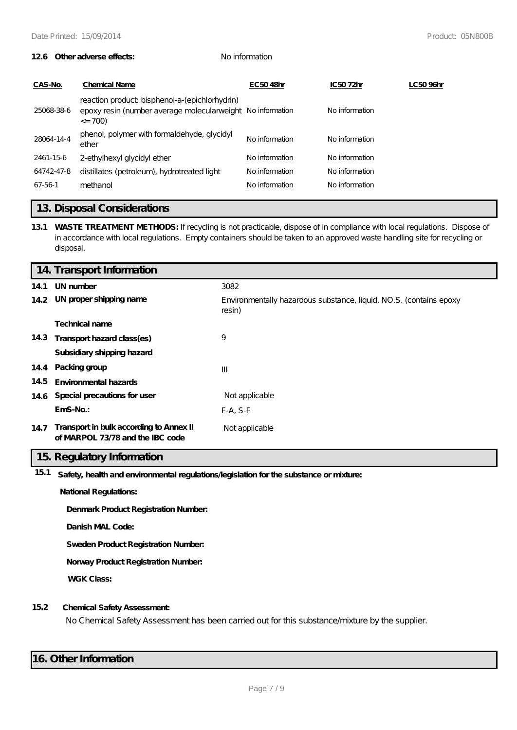#### **12.6 Other adverse effects:** No information

| CAS-No.    | <b>Chemical Name</b>                                                                                                        | EC5048hr       | IC5072hr       | LC5096hr |
|------------|-----------------------------------------------------------------------------------------------------------------------------|----------------|----------------|----------|
| 25068-38-6 | reaction product bisphenol-a-(epichlorhydrin)<br>epoxy resin (number average molecular weight No information<br>$\leq$ 700) |                | No information |          |
| 28064-14-4 | phenol, polymer with formaldehyde, glycidyl<br>ether                                                                        | No information | No information |          |
| 2461-15-6  | 2-ethylhexyl glycidyl ether                                                                                                 | No information | No information |          |
| 64742-47-8 | distillates (petroleum), hydrotreated light                                                                                 | No information | No information |          |
| 67-56-1    | methanol                                                                                                                    | No information | No information |          |
|            |                                                                                                                             |                |                |          |

### **13. Disposal Considerations**

**13.1 WASTE TREATMENT METHODS:** If recycling is not practicable, dispose of in compliance with local regulations. Dispose of in accordance with local regulations. Empty containers should be taken to an approved waste handling site for recycling or disposal.

|      | 14. Transport Information                                                   |                                                                              |  |  |
|------|-----------------------------------------------------------------------------|------------------------------------------------------------------------------|--|--|
| 14.1 | UN number                                                                   | 3082                                                                         |  |  |
|      | 14.2 UN proper shipping name                                                | Environmentally hazardous substance, liquid, NO.S. (contains epoxy<br>resin) |  |  |
|      | <b>Technical name</b>                                                       |                                                                              |  |  |
|      | 14.3 Transport hazard class(es)                                             | 9                                                                            |  |  |
|      | Subsidiary shipping hazard                                                  |                                                                              |  |  |
|      | 14.4 Packing group                                                          | $\mathbf{III}$                                                               |  |  |
| 14.5 | <b>Environmental hazards</b>                                                |                                                                              |  |  |
|      | 14.6 Special precautions for user                                           | Not applicable                                                               |  |  |
|      | $EmS-No.$                                                                   | $F-A, S-F$                                                                   |  |  |
| 14.7 | Transport in bulk according to Annex II<br>of MARPOL 73/78 and the IBC code | Not applicable                                                               |  |  |

### **15. Regulatory Information**

**15.1 Safety, health and environmental regulations/legislation for the substance or mixture:**

**National Regulations:**

**Denmark Product Registration Number:**

**Danish MAL Code:**

**Sweden Product Registration Number:**

**Norway Product Registration Number:**

**WGK Class:**

#### **15.2 Chemical Safety Assessment:**

No Chemical Safety Assessment has been carried out for this substance/mixture by the supplier.

### **16. Other Information**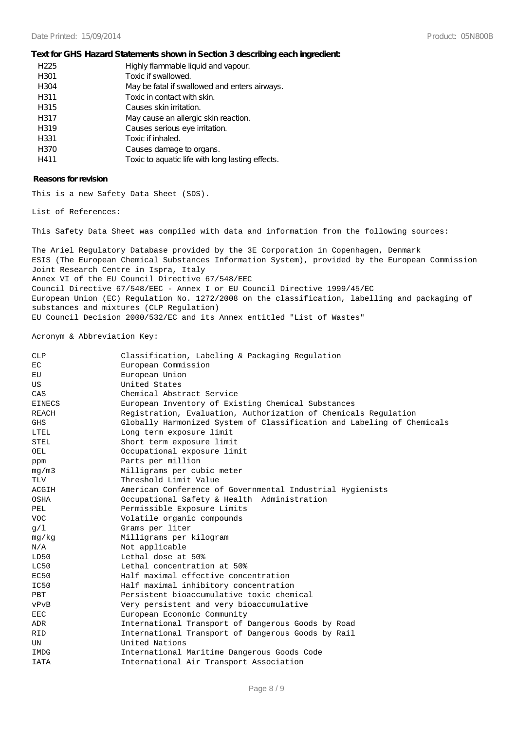#### **Text for GHS Hazard Statements shown in Section 3 describing each ingredient:**

| H <sub>225</sub> | Highly flammable liquid and vapour.              |
|------------------|--------------------------------------------------|
| H301             | Toxic if swallowed.                              |
| H304             | May be fatal if swallowed and enters airways.    |
| H311             | Toxic in contact with skin.                      |
| H315             | Causes skin irritation.                          |
| H317             | May cause an allergic skin reaction.             |
| H319             | Causes serious eye irritation.                   |
| H331             | Toxic if inhaled.                                |
| H370             | Causes damage to organs.                         |
| H411             | Toxic to aquatic life with long lasting effects. |

#### **Reasons for revision**

This is a new Safety Data Sheet (SDS).

List of References:

This Safety Data Sheet was compiled with data and information from the following sources:

The Ariel Regulatory Database provided by the 3E Corporation in Copenhagen, Denmark ESIS (The European Chemical Substances Information System), provided by the European Commission Joint Research Centre in Ispra, Italy Annex VI of the EU Council Directive 67/548/EEC Council Directive 67/548/EEC - Annex I or EU Council Directive 1999/45/EC European Union (EC) Regulation No. 1272/2008 on the classification, labelling and packaging of substances and mixtures (CLP Regulation) EU Council Decision 2000/532/EC and its Annex entitled "List of Wastes"

#### Acronym & Abbreviation Key:

| <b>CLP</b>    | Classification, Labeling & Packaging Regulation                        |
|---------------|------------------------------------------------------------------------|
| EC            | European Commission                                                    |
| ЕU            | European Union                                                         |
| US            | United States                                                          |
| CAS           | Chemical Abstract Service                                              |
| <b>EINECS</b> | European Inventory of Existing Chemical Substances                     |
| <b>REACH</b>  | Registration, Evaluation, Authorization of Chemicals Regulation        |
| <b>GHS</b>    | Globally Harmonized System of Classification and Labeling of Chemicals |
| LTEL          | Long term exposure limit                                               |
| STEL          | Short term exposure limit                                              |
| OEL           | Occupational exposure limit                                            |
| ppm           | Parts per million                                                      |
| mq/m3         | Milligrams per cubic meter                                             |
| <b>TLV</b>    | Threshold Limit Value                                                  |
| ACGIH         | American Conference of Governmental Industrial Hygienists              |
| OSHA          | Occupational Safety & Health Administration                            |
| PEL           | Permissible Exposure Limits                                            |
| <b>VOC</b>    | Volatile organic compounds                                             |
| q/1           | Grams per liter                                                        |
| mg/kg         | Milligrams per kilogram                                                |
| N/A           | Not applicable                                                         |
| LD50          | Lethal dose at 50%                                                     |
| LC50          | Lethal concentration at 50%                                            |
| EC50          | Half maximal effective concentration                                   |
| IC50          | Half maximal inhibitory concentration                                  |
| <b>PBT</b>    | Persistent bioaccumulative toxic chemical                              |
| vPvB          | Very persistent and very bioaccumulative                               |
| <b>EEC</b>    | European Economic Community                                            |
| ADR           | International Transport of Dangerous Goods by Road                     |
| <b>RID</b>    | International Transport of Dangerous Goods by Rail                     |
| UN            | United Nations                                                         |
| IMDG          | International Maritime Dangerous Goods Code                            |
| <b>IATA</b>   | International Air Transport Association                                |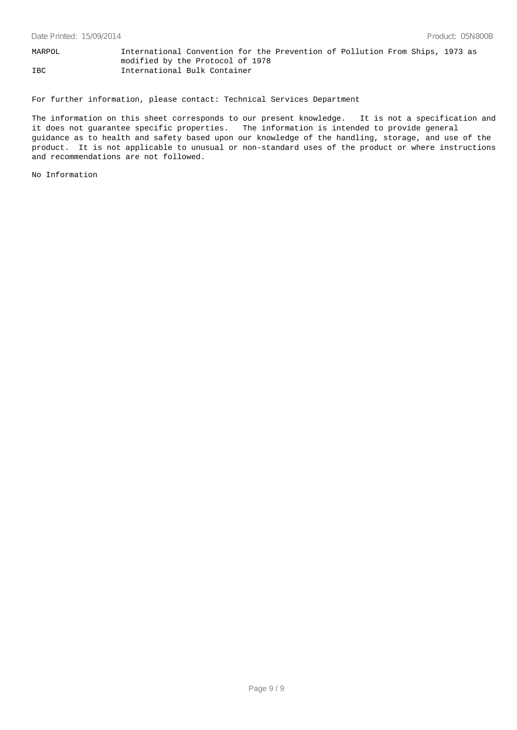MARPOL International Convention for the Prevention of Pollution From Ships, 1973 as modified by the Protocol of 1978 IBC International Bulk Container

For further information, please contact: Technical Services Department

The information on this sheet corresponds to our present knowledge. It is not a specification and it does not guarantee specific properties. The information is intended to provide general guidance as to health and safety based upon our knowledge of the handling, storage, and use of the product. It is not applicable to unusual or non-standard uses of the product or where instructions and recommendations are not followed.

No Information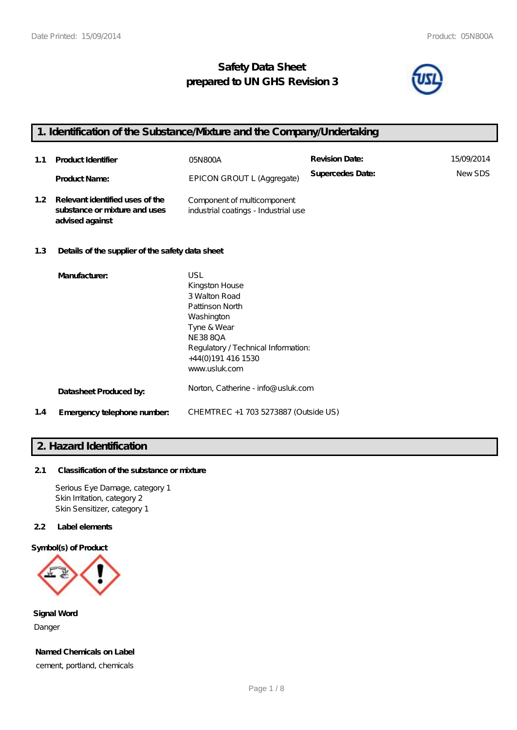## **Safety Data Sheet prepared to UN GHS Revision 3**



## **1. Identification of the Substance/Mixture and the Company/Undertaking**

| 1.1              | <b>Product Identifier</b>                                                           | 05N 800A                                                            | <b>Revision Date:</b> | 15/09/2014    |
|------------------|-------------------------------------------------------------------------------------|---------------------------------------------------------------------|-----------------------|---------------|
|                  | <b>Product Name:</b>                                                                | EPICON GROUT L (Aggregate)                                          | Supercedes Date:      | <b>NewSDS</b> |
| 1.2 <sub>1</sub> | Relevant identified uses of the<br>substance or mixture and uses<br>advised against | Component of multicomponent<br>industrial coatings - Industrial use |                       |               |

### **1.3 Details of the supplier of the safety data sheet**

|     | Manufacturer:               | <b>USL</b>                           |
|-----|-----------------------------|--------------------------------------|
|     |                             | Kingston House                       |
|     |                             | 3 Walton Road                        |
|     |                             | Pattinson North                      |
|     |                             | Washington                           |
|     |                             | Tyne & Wear                          |
|     |                             | <b>NE3880A</b>                       |
|     |                             | Regulatory / Technical Information:  |
|     |                             | +44(0)191 416 1530                   |
|     |                             | www.usluk.com                        |
|     | Datasheet Produced by:      | Norton, Catherine - info@ usluk.com  |
| 1.4 | Emergency telephone number. | CHEMTREC +1 703 5273887 (Outside US) |

### **2. Hazard Identification**

### **2.1 Classification of the substance or mixture**

Serious Eye Damage, category 1 Skin Irritation, category 2 Skin Sensitizer, category 1

### **2.2 Label elements**

#### **Symbol(s) of Product**



**Signal Word** Danger

**Named Chemicals on Label**

cement, portland, chemicals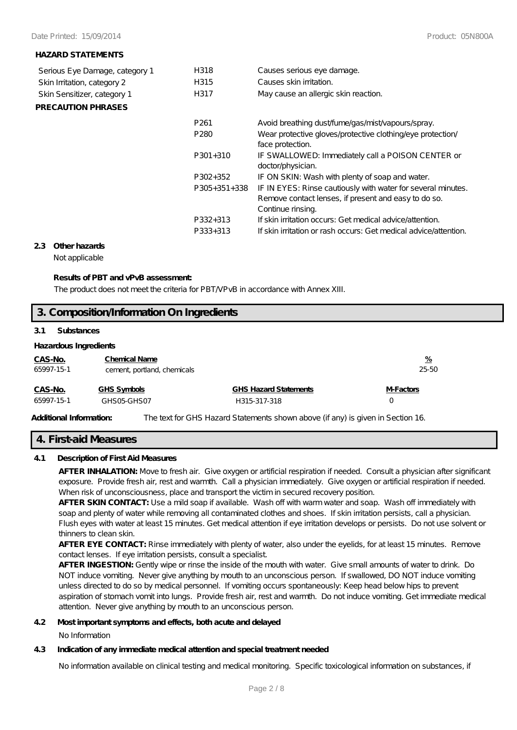#### **HAZARD STATEMENTS**

| Serious Eye Damage, category 1 | H318                 | Causes serious eye damage.                                                                                                                |
|--------------------------------|----------------------|-------------------------------------------------------------------------------------------------------------------------------------------|
| Skin Irritation, category 2    | H315                 | Causes skin irritation.                                                                                                                   |
| Skin Sensitizer, category 1    | H317                 | May cause an allergic skin reaction.                                                                                                      |
| <b>PRECAUTION PHRASES</b>      |                      |                                                                                                                                           |
|                                | P <sub>261</sub>     | Avoid breathing dust/fume/gas/mist/vapours/spray.                                                                                         |
|                                | P <sub>280</sub>     | Wear protective gloves/protective clothing/eye protection/<br>face protection.                                                            |
|                                | $P301+310$           | IF SWALLOWED: Immediately call a POISON CENTER or<br>doctor/physician.                                                                    |
|                                | P302+352             | IF ON SKIN: Wash with plenty of soap and water.                                                                                           |
|                                | $P305+351+338$       | IF IN EYES: Rinse cautiously with water for several minutes.<br>Remove contact lenses, if present and easy to do so.<br>Continue rinsing. |
|                                | P332+313<br>P333+313 | If skin irritation occurs: Get medical advice attention.<br>If skin irritation or rash occurs: Get medical advice attention.              |

#### **2.3 Other hazards**

Not applicable

#### **Results of PBT and vPvB assessment:**

The product does not meet the criteria for PBT/VPvB in accordance with Annex XIII.

## **3. Composition/Information On Ingredients**

#### **3.1 Substances**

### **Hazardous Ingredients**

| CAS-No.<br>65997-15-1 | <b>Chemical Name</b><br>cement, portland, chemicals |                              | <u>%</u><br>25-50 |
|-----------------------|-----------------------------------------------------|------------------------------|-------------------|
| CAS-No.               | GHS Symbols                                         | <b>GHS Hazard Statements</b> | M-Factors         |
| 65997-15-1            | GHSO5-GHSO7                                         | H315-317-318                 |                   |
|                       |                                                     |                              |                   |

**Additional Information:** The text for GHS Hazard Statements shown above (if any) is given in Section 16.

### **4. First-aid Measures**

#### **4.1 Description of First Aid Measures**

**AFTER INHALATION:** Move to fresh air. Give oxygen or artificial respiration if needed. Consult a physician after significant exposure. Provide fresh air, rest and warmth. Call a physician immediately. Give oxygen or artificial respiration if needed. When risk of unconsciousness, place and transport the victim in secured recovery position.

**AFTER SKIN CONTACT:** Use a mild soap if available. Wash off with warm water and soap. Wash off immediately with soap and plenty of water while removing all contaminated clothes and shoes. If skin irritation persists, call a physician. Flush eyes with water at least 15 minutes. Get medical attention if eye irritation develops or persists. Do not use solvent or thinners to clean skin.

**AFTER EYE CONTACT:** Rinse immediately with plenty of water, also under the eyelids, for at least 15 minutes. Remove contact lenses. If eye irritation persists, consult a specialist.

**AFTER INGESTION:** Gently wipe or rinse the inside of the mouth with water. Give small amounts of water to drink. Do NOT induce vomiting. Never give anything by mouth to an unconscious person. If swallowed, DO NOT induce vomiting unless directed to do so by medical personnel. If vomiting occurs spontaneously: Keep head below hips to prevent aspiration of stomach vomit into lungs. Provide fresh air, rest and warmth. Do not induce vomiting. Get immediate medical attention. Never give anything by mouth to an unconscious person.

#### **4.2 Most important symptoms and effects, both acute and delayed**

No Information

### **4.3 Indication of any immediate medical attention and special treatment needed**

No information available on clinical testing and medical monitoring. Specific toxicological information on substances, if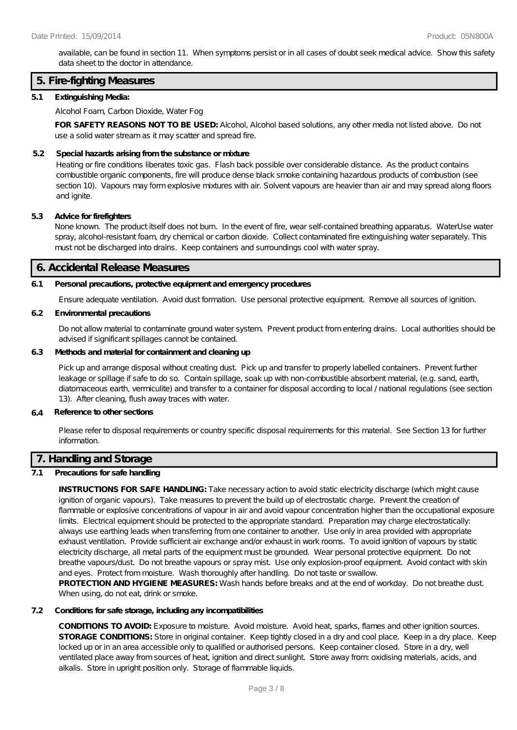available, can be found in section 11. When symptoms persist or in all cases of doubt seek medical advice. Show this safety data sheet to the doctor in attendance.

### **5. Fire-fighting Measures**

#### **5.1 Extinguishing Media:**

Alcohol Foam, Carbon Dioxide, Water Fog

**FOR SAFETY REASONS NOT TO BE USED:** Alcohol, Alcohol based solutions, any other media not listed above. Do not use a solid water stream as it may scatter and spread fire.

#### **5.2 Special hazards arising from the substance or mixture**

Heating or fire conditions liberates toxic gas. Flash back possible over considerable distance. As the product contains combustible organic components, fire will produce dense black smoke containing hazardous products of combustion (see section 10). Vapours may form explosive mixtures with air. Solvent vapours are heavier than air and may spread along floors and ignite.

#### **5.3 Advice for firefighters**

None known. The product itself does not burn. In the event of fire, wear self-contained breathing apparatus. WaterUse water spray, alcohol-resistant foam, dry chemical or carbon dioxide. Collect contaminated fire extinguishing water separately. This must not be discharged into drains. Keep containers and surroundings cool with water spray.

#### **6. Accidental Release Measures**

#### **6.1 Personal precautions, protective equipment and emergency procedures**

Ensure adequate ventilation. Avoid dust formation. Use personal protective equipment. Remove all sources of ignition.

#### **6.2 Environmental precautions**

Do not allow material to contaminate ground water system. Prevent product from entering drains. Local authorities should be advised if significant spillages cannot be contained.

### **6.3 Methods and material for containment and cleaning up**

Pick up and arrange disposal without creating dust. Pick up and transfer to properly labelled containers. Prevent further leakage or spillage if safe to do so. Contain spillage, soak up with non-combustible absorbent material, (e.g. sand, earth, diatomaceous earth, vermiculite) and transfer to a container for disposal according to local / national regulations (see section 13). After cleaning, flush away traces with water.

#### **6.4 Reference to other sections**

Please refer to disposal requirements or country specific disposal requirements for this material. See Section 13 for further information.

### **7. Handling and Storage**

### **7.1 Precautions for safe handling**

**INSTRUCTIONS FOR SAFE HANDLING:** Take necessary action to avoid static electricity discharge (which might cause ignition of organic vapours). Take measures to prevent the build up of electrostatic charge. Prevent the creation of flammable or explosive concentrations of vapour in air and avoid vapour concentration higher than the occupational exposure limits. Electrical equipment should be protected to the appropriate standard. Preparation may charge electrostatically: always use earthing leads when transferring from one container to another. Use only in area provided with appropriate exhaust ventilation. Provide sufficient air exchange and/or exhaust in work rooms. To avoid ignition of vapours by static electricity discharge, all metal parts of the equipment must be grounded. Wear personal protective equipment. Do not breathe vapours/dust. Do not breathe vapours or spray mist. Use only explosion-proof equipment. Avoid contact with skin and eyes. Protect from moisture. Wash thoroughly after handling. Do not taste or swallow.

**PROTECTION AND HYGIENE MEASURES:** Wash hands before breaks and at the end of workday. Do not breathe dust. When using, do not eat, drink or smoke.

### **7.2 Conditions for safe storage, including any incompatibilities**

**CONDITIONS TO AVOID:** Exposure to moisture. Avoid moisture. Avoid heat, sparks, flames and other ignition sources. **STORAGE CONDITIONS:** Store in original container. Keep tightly closed in a dry and cool place. Keep in a dry place. Keep locked up or in an area accessible only to qualified or authorised persons. Keep container closed. Store in a dry, well ventilated place away from sources of heat, ignition and direct sunlight. Store away from: oxidising materials, acids, and alkalis. Store in upright position only. Storage of flammable liquids.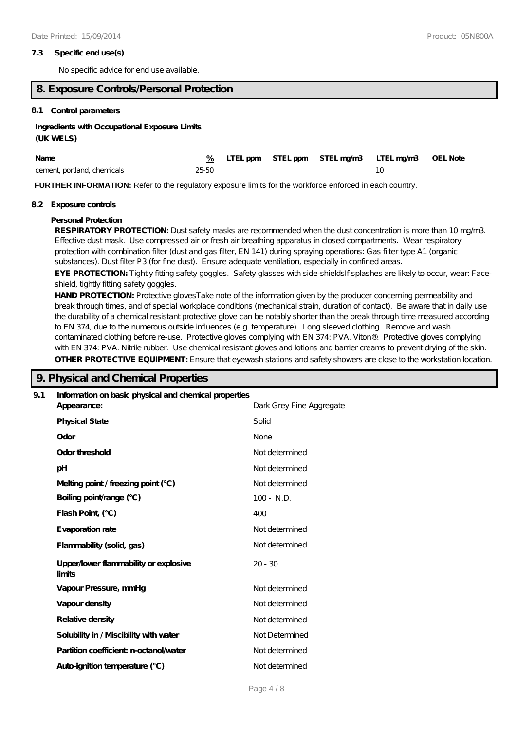#### **7.3 Specific end use(s)**

No specific advice for end use available.

### **8. Exposure Controls/Personal Protection**

#### **8.1 Control parameters**

#### **Ingredients with Occupational Exposure Limits**

#### **(UK WELS)**

| <b>Name</b>                 |       |  | % LTEL ppm STEL ppm STEL ma/m3 LTEL ma/m3 OEL Note |  |
|-----------------------------|-------|--|----------------------------------------------------|--|
| cement, portland, chemicals | 25-50 |  |                                                    |  |

**FURTHER INFORMATION:** Refer to the regulatory exposure limits for the workforce enforced in each country.

#### **8.2 Exposure controls**

#### **Personal Protection**

RESPIRATORY PROTECTION: Dust safety masks are recommended when the dust concentration is more than 10 mg/m3. Effective dust mask. Use compressed air or fresh air breathing apparatus in closed compartments. Wear respiratory protection with combination filter (dust and gas filter, EN 141) during spraying operations: Gas filter type A1 (organic substances). Dust filter P3 (for fine dust). Ensure adequate ventilation, especially in confined areas.

EYE PROTECTION: Tightly fitting safety goggles. Safety glasses with side-shieldsIf splashes are likely to occur, wear: Faceshield, tightly fitting safety goggles.

**HAND PROTECTION:** Protective glovesTake note of the information given by the producer concerning permeability and break through times, and of special workplace conditions (mechanical strain, duration of contact). Be aware that in daily use the durability of a chemical resistant protective glove can be notably shorter than the break through time measured according to EN 374, due to the numerous outside influences (e.g. temperature). Long sleeved clothing. Remove and wash contaminated clothing before re-use. Protective gloves complying with EN 374: PVA. Viton®. Protective gloves complying with EN 374: PVA. Nitrile rubber. Use chemical resistant gloves and lotions and barrier creams to prevent drying of the skin. **OTHER PROTECTIVE EQUIPMENT:** Ensure that eyewash stations and safety showers are close to the workstation location.

### **9. Physical and Chemical Properties**

| 9.1 | Information on basic physical and chemical properties |                          |  |
|-----|-------------------------------------------------------|--------------------------|--|
|     | Appearance:                                           | Dark Grey Fine Aggregate |  |
|     | <b>Physical State</b>                                 | Solid                    |  |
|     | Odor                                                  | None                     |  |
|     | Odor threshold                                        | Not determined           |  |
|     | pH                                                    | Not determined           |  |
|     | Melting point / freezing point (°C)                   | Not determined           |  |
|     | Boiling point/range (°C)                              | $100 - N.D.$             |  |
|     | Flash Point, (°C)                                     | 400                      |  |
|     | Evaporation rate                                      | Not determined           |  |
|     | Flammability (solid, gas)                             | Not determined           |  |
|     | Upper/lower flammability or explosive<br>limits       | $20 - 30$                |  |
|     | Vapour Pressure, mmHg                                 | Not determined           |  |
|     | Vapour density                                        | Not determined           |  |
|     | Relative density                                      | Not determined           |  |
|     | Solubility in / Miscibility with water                | Not Determined           |  |
|     | Partition coefficient n-octanol/water                 | Not determined           |  |
|     | Auto-ignition temperature (°C)                        | Not determined           |  |
|     |                                                       |                          |  |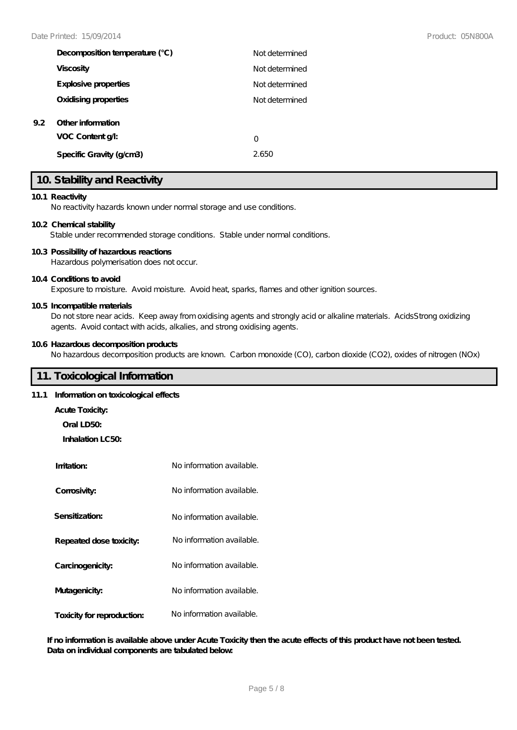|     | Decomposition temperature (°C)       | Not determined |
|-----|--------------------------------------|----------------|
|     | <b>Viscosity</b>                     | Not determined |
|     | Explosive properties                 | Not determined |
|     | Oxidising properties                 | Not determined |
| 9.2 | Other information<br>VOC Content g/: | O              |
|     | Specific Gravity (g/cm3)             | 2.650          |

### **10. Stability and Reactivity**

#### **10.1 Reactivity**

No reactivity hazards known under normal storage and use conditions.

#### **10.2 Chemical stability**

Stable under recommended storage conditions. Stable under normal conditions.

#### **10.3 Possibility of hazardous reactions**

Hazardous polymerisation does not occur.

#### **10.4 Conditions to avoid**

Exposure to moisture. Avoid moisture. Avoid heat, sparks, flames and other ignition sources.

#### **10.5 Incompatible materials**

Do not store near acids. Keep away from oxidising agents and strongly acid or alkaline materials. AcidsStrong oxidizing agents. Avoid contact with acids, alkalies, and strong oxidising agents.

#### **10.6 Hazardous decomposition products**

No hazardous decomposition products are known. Carbon monoxide (CO), carbon dioxide (CO2), oxides of nitrogen (NOx)

### **11. Toxicological Information**

### **11.1 Information on toxicological effects**

- **Acute Toxicity:**
	- **Oral LD50:**

**Inhalation LC50:**

| Imitation:                 | No information available. |
|----------------------------|---------------------------|
| Corrosivity:               | No information available. |
| Sensitization:             | No information available. |
| Repeated dose toxicity:    | No information available. |
| Carcinogenicity:           | No information available. |
| Mutagenicity:              | No information available. |
| Toxicity for reproduction: | No information available. |

**If no information is available above under Acute Toxicity then the acute effects of this product have not been tested. Data on individual components are tabulated below:**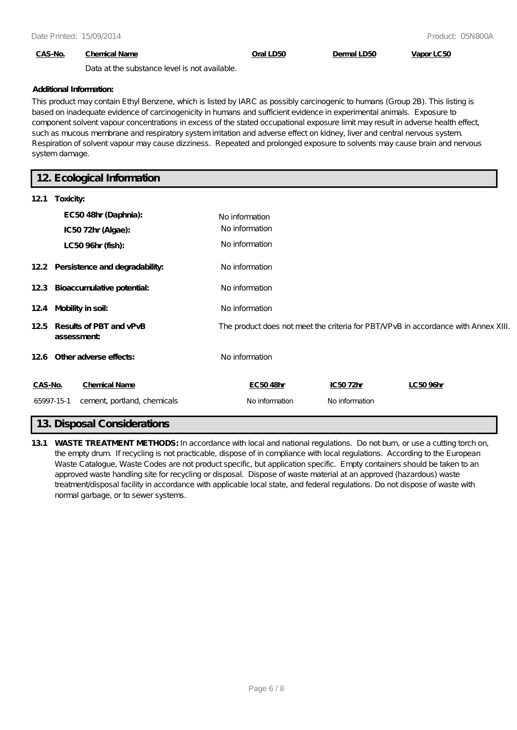### **CAS-No. Chemical Name Oral LD50 Dermal LD50 Vapor LC50**

Data at the substance level is not available.

#### **Additional Information:**

This product may contain Ethyl Benzene, which is listed by IARC as possibly carcinogenic to humans (Group 2B). This listing is based on inadequate evidence of carcinogenicity in humans and sufficient evidence in experimental animals. Exposure to component solvent vapour concentrations in excess of the stated occupational exposure limit may result in adverse health effect, such as mucous membrane and respiratory system irritation and adverse effect on kidney, liver and central nervous system. Respiration of solvent vapour may cause dizziness. Repeated and prolonged exposure to solvents may cause brain and nervous system damage.

### **12. Ecological Information**

| 121     | Toxicity:                                 |                                                                                    |                |          |
|---------|-------------------------------------------|------------------------------------------------------------------------------------|----------------|----------|
|         | EC5048hr (Daphnia):                       | No information                                                                     |                |          |
|         | IC5072hr (Algae):                         | No information                                                                     |                |          |
|         | LC50 96hr (fish):                         | No information                                                                     |                |          |
|         | 12.2 Persistence and degradability:       | No information                                                                     |                |          |
|         | 123 Bioaccumulative potential:            | No information                                                                     |                |          |
|         | 124 Mobility in soil:                     | No information                                                                     |                |          |
|         | 125 Results of PBT and vPvB<br>assessment | The product does not meet the criteria for PBT/VPvB in accordance with Annex XIII. |                |          |
|         | 126 Other adverse effects:                | No information                                                                     |                |          |
| CAS-No. | <b>Chemical Name</b>                      | EC5048hr                                                                           | IC5072hr       | LC5096hr |
|         | 65997-15-1<br>cement, portland, chemicals | No information                                                                     | No information |          |
|         |                                           |                                                                                    |                |          |

### **13. Disposal Considerations**

**13.1 WASTE TREATMENT METHODS:** In accordance with local and national regulations. Do not burn, or use a cutting torch on, the empty drum. If recycling is not practicable, dispose of in compliance with local regulations. According to the European Waste Catalogue, Waste Codes are not product specific, but application specific. Empty containers should be taken to an approved waste handling site for recycling or disposal. Dispose of waste material at an approved (hazardous) waste treatment/disposal facility in accordance with applicable local state, and federal regulations. Do not dispose of waste with normal garbage, or to sewer systems.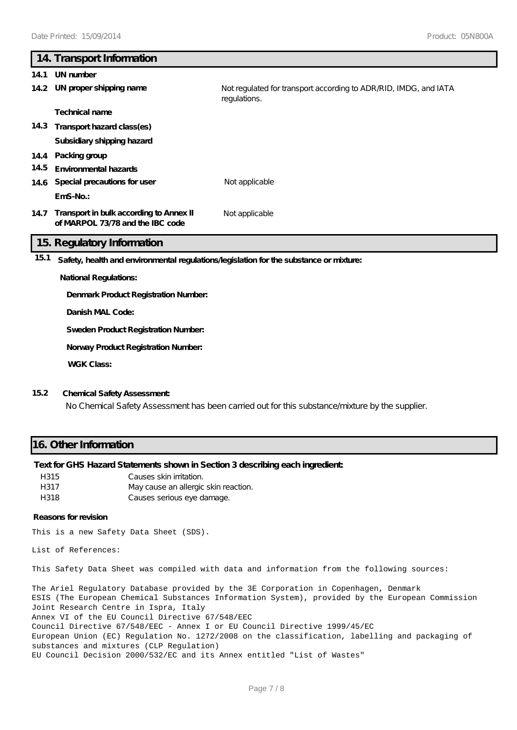## **14. Transport Information 14.1 UN number 14.2 UN proper shipping name** Not regulated for transport according to ADR/RID, IMDG, and IATA regulations. **Technical name 14.3 Transport hazard class(es) Subsidiary shipping hazard 14.4 Packing group 14.5 Environmental hazards 14.6 Special precautions for user** Not applicable **EmS-No.: Transport in bulk according to Annex II 14.7** Not applicable **of MARPOL 73/78 and the IBC code 15. Regulatory Information 15.1 Safety, health and environmental regulations/legislation for the substance or mixture: National Regulations: Denmark Product Registration Number:**

**Danish MAL Code:**

**Sweden Product Registration Number:**

**Norway Product Registration Number:**

**WGK Class:**

### **15.2 Chemical Safety Assessment:**

No Chemical Safety Assessment has been carried out for this substance/mixture by the supplier.

### **16. Other Information**

### **Text for GHS Hazard Statements shown in Section 3 describing each ingredient:**

| H315 | Causes skin irritation.              |
|------|--------------------------------------|
| H317 | May cause an allergic skin reaction. |
| H318 | Causes serious eye damage.           |

#### **Reasons for revision**

This is a new Safety Data Sheet (SDS).

List of References:

This Safety Data Sheet was compiled with data and information from the following sources:

The Ariel Regulatory Database provided by the 3E Corporation in Copenhagen, Denmark ESIS (The European Chemical Substances Information System), provided by the European Commission Joint Research Centre in Ispra, Italy Annex VI of the EU Council Directive 67/548/EEC Council Directive 67/548/EEC - Annex I or EU Council Directive 1999/45/EC European Union (EC) Regulation No. 1272/2008 on the classification, labelling and packaging of substances and mixtures (CLP Regulation) EU Council Decision 2000/532/EC and its Annex entitled "List of Wastes"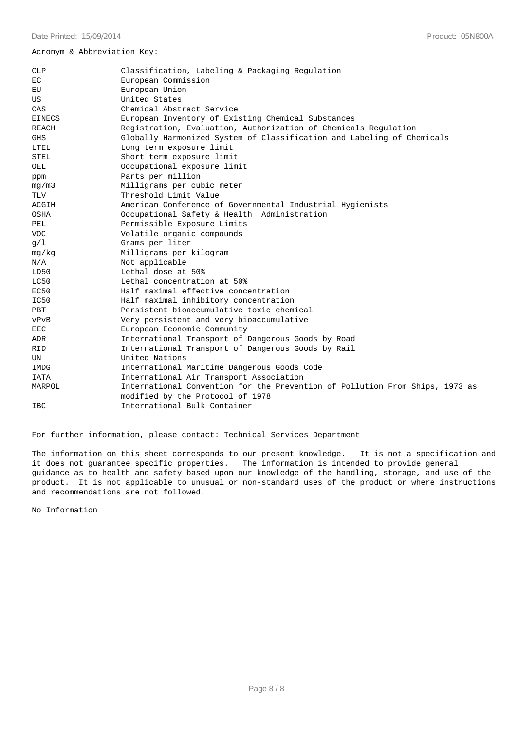#### Acronym & Abbreviation Key:

| CLP           | Classification, Labeling & Packaging Regulation                                                                  |  |  |  |
|---------------|------------------------------------------------------------------------------------------------------------------|--|--|--|
| EC            | European Commission                                                                                              |  |  |  |
| EU            | European Union                                                                                                   |  |  |  |
| US            | United States                                                                                                    |  |  |  |
| CAS           | Chemical Abstract Service                                                                                        |  |  |  |
| <b>EINECS</b> | European Inventory of Existing Chemical Substances                                                               |  |  |  |
| REACH         | Registration, Evaluation, Authorization of Chemicals Regulation                                                  |  |  |  |
| <b>GHS</b>    | Globally Harmonized System of Classification and Labeling of Chemicals                                           |  |  |  |
| LTEL          | Long term exposure limit                                                                                         |  |  |  |
| <b>STEL</b>   | Short term exposure limit                                                                                        |  |  |  |
| OEL           | Occupational exposure limit                                                                                      |  |  |  |
| ppm           | Parts per million                                                                                                |  |  |  |
| mq/m3         | Milligrams per cubic meter                                                                                       |  |  |  |
| TLV           | Threshold Limit Value                                                                                            |  |  |  |
| ACGIH         | American Conference of Governmental Industrial Hygienists                                                        |  |  |  |
| OSHA          | Occupational Safety & Health Administration                                                                      |  |  |  |
| PEL           | Permissible Exposure Limits                                                                                      |  |  |  |
| <b>VOC</b>    | Volatile organic compounds                                                                                       |  |  |  |
| g/1           | Grams per liter                                                                                                  |  |  |  |
| mq/kg         | Milligrams per kilogram                                                                                          |  |  |  |
| N/A           | Not applicable                                                                                                   |  |  |  |
| LD50          | Lethal dose at 50%                                                                                               |  |  |  |
| LC50          | Lethal concentration at 50%                                                                                      |  |  |  |
| EC50          | Half maximal effective concentration                                                                             |  |  |  |
| IC50          | Half maximal inhibitory concentration                                                                            |  |  |  |
| PBT           | Persistent bioaccumulative toxic chemical                                                                        |  |  |  |
| vPvB          | Very persistent and very bioaccumulative                                                                         |  |  |  |
| EEC           | European Economic Community                                                                                      |  |  |  |
| ADR           | International Transport of Dangerous Goods by Road                                                               |  |  |  |
| <b>RID</b>    | International Transport of Dangerous Goods by Rail                                                               |  |  |  |
| UN            | United Nations                                                                                                   |  |  |  |
| IMDG          | International Maritime Dangerous Goods Code                                                                      |  |  |  |
| IATA          | International Air Transport Association                                                                          |  |  |  |
| MARPOL        | International Convention for the Prevention of Pollution From Ships, 1973 as<br>modified by the Protocol of 1978 |  |  |  |
| IBC           | International Bulk Container                                                                                     |  |  |  |
|               |                                                                                                                  |  |  |  |

For further information, please contact: Technical Services Department

The information on this sheet corresponds to our present knowledge. It is not a specification and it does not guarantee specific properties. The information is intended to provide general guidance as to health and safety based upon our knowledge of the handling, storage, and use of the product. It is not applicable to unusual or non-standard uses of the product or where instructions and recommendations are not followed.

No Information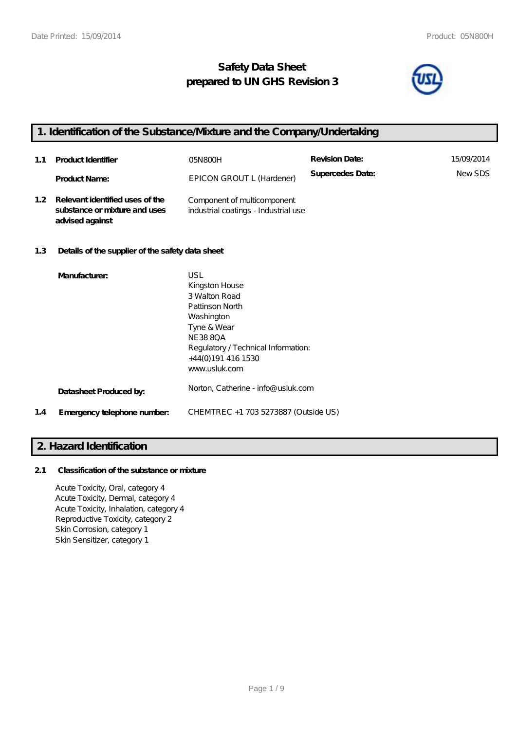## **Safety Data Sheet prepared to UN GHS Revision 3**



### **1. Identification of the Substance/Mixture and the Company/Undertaking**

| 1.1              | <b>Product Identifier</b>                                                           | 05N800H                                                             | <b>Revision Date:</b> | 15/09/2014 |
|------------------|-------------------------------------------------------------------------------------|---------------------------------------------------------------------|-----------------------|------------|
|                  | <b>Product Name:</b>                                                                | EPICON GROUT L (Hardener)                                           | Supercedes Date:      | NewSDS     |
| 1.2 <sub>1</sub> | Relevant identified uses of the<br>substance or mixture and uses<br>advised against | Component of multicomponent<br>industrial coatings - Industrial use |                       |            |

### **1.3 Details of the supplier of the safety data sheet**

|     | Manufacturer:               | USL<br>Kingston House<br>3 Walton Road<br>Pattinson North<br>Washington<br>Tyne & Wear<br><b>NE3880A</b><br>Regulatory / Technical Information:<br>+44(0)191 416 1530<br>www.usluk.com |
|-----|-----------------------------|----------------------------------------------------------------------------------------------------------------------------------------------------------------------------------------|
|     | Datasheet Produced by:      | Norton, Catherine - info@ usluk.com                                                                                                                                                    |
| 1.4 | Emergency telephone number. | CHEMTREC +1 703 5273887 (Outside US)                                                                                                                                                   |

### **2. Hazard Identification**

### **2.1 Classification of the substance or mixture**

Acute Toxicity, Oral, category 4 Acute Toxicity, Dermal, category 4 Acute Toxicity, Inhalation, category 4 Reproductive Toxicity, category 2 Skin Corrosion, category 1 Skin Sensitizer, category 1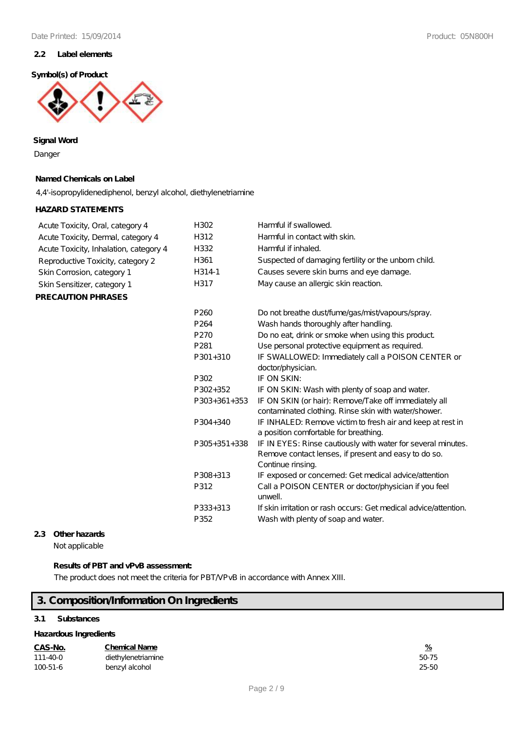#### **2.2 Label elements**

#### **Symbol(s) of Product**



**Signal Word**

Danger

### **Named Chemicals on Label**

4,4'-isopropylidenediphenol, benzyl alcohol, diethylenetriamine

### **HAZARD STATEMENTS**

| Acute Toxicity, Oral, category 4       | H302             | Harmful if swallowed.                                                                                                                     |
|----------------------------------------|------------------|-------------------------------------------------------------------------------------------------------------------------------------------|
| Acute Toxicity, Dermal, category 4     | H312             | Harmful in contact with skin.                                                                                                             |
| Acute Toxicity, Inhalation, category 4 | H332             | Harmful if inhaled.                                                                                                                       |
| Reproductive Toxicity, category 2      | H361             | Suspected of damaging fertility or the unborn child.                                                                                      |
| Skin Corrosion, category 1             | H314-1           | Causes severe skin burns and eye damage.                                                                                                  |
| Skin Sensitizer, category 1            | H317             | May cause an allergic skin reaction.                                                                                                      |
| <b>PRECAUTION PHRASES</b>              |                  |                                                                                                                                           |
|                                        | P <sub>260</sub> | Do not breathe dust/fume/gas/mist/vapours/spray.                                                                                          |
|                                        | P <sub>264</sub> | Wash hands thoroughly after handling.                                                                                                     |
|                                        | P <sub>270</sub> | Do no eat, drink or smoke when using this product                                                                                         |
|                                        | P <sub>281</sub> | Use personal protective equipment as required.                                                                                            |
|                                        | $P301 + 310$     | IF SWALLOWED: Immediately call a POISON CENTER or                                                                                         |
|                                        |                  | doctor/physician.                                                                                                                         |
|                                        | P302             | IF ON SKIN:                                                                                                                               |
|                                        | P302+352         | IF ON SKIN: Wash with plenty of soap and water.                                                                                           |
|                                        | $P303+361+353$   | IF ON SKIN (or hair): Remove/Take off immediately all<br>contaminated clothing. Rinse skin with water/shower.                             |
|                                        | P304+340         | IF INHALED: Remove victim to fresh air and keep at rest in<br>a position comfortable for breathing.                                       |
|                                        | $P305+351+338$   | IF IN EYES: Rinse cautiously with water for several minutes.<br>Remove contact lenses, if present and easy to do so.<br>Continue rinsing. |
|                                        | P308+313<br>P312 | IF exposed or concerned: Get medical advice/attention<br>Call a POISON CENTER or doctor/physician if you feel<br>unwell.                  |
|                                        | P333+313<br>P352 | If skin irritation or rash occurs: Get medical advice attention.<br>Wash with plenty of soap and water.                                   |
|                                        |                  |                                                                                                                                           |

### **2.3 Other hazards**

Not applicable

### **Results of PBT and vPvB assessment:**

The product does not meet the criteria for PBT/VPvB in accordance with Annex XIII.

## **3. Composition/Information On Ingredients**

### **3.1 Substances**

#### **Hazardous Ingredients**

| CAS-No. | <b>Chemical Name</b> | 7с |
|---------|----------------------|----|
|         |                      |    |

| $111 - 40 - 0$ | diethylenetriamine | 50-75     |
|----------------|--------------------|-----------|
| $100 - 51 - 6$ | benzyl alcohol     | $25 - 50$ |

| %                |
|------------------|
| 50-71<br>Һ       |
| ול-ר<br>7<br>( ) |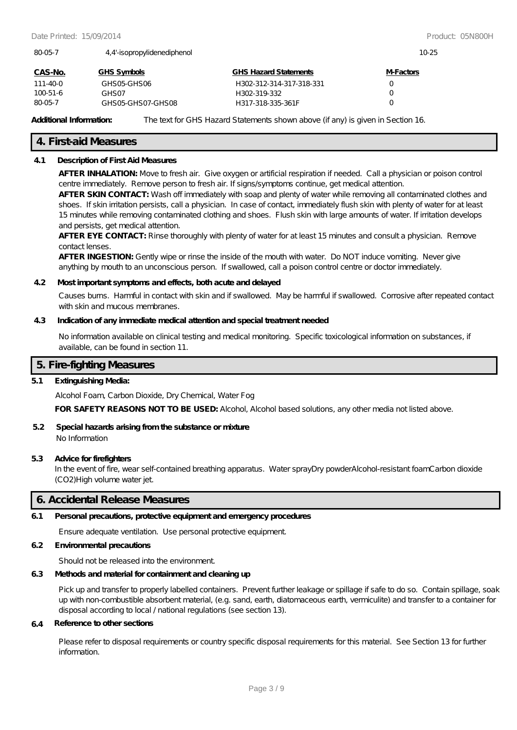| 80-05-7<br>4.4'-isopropylidenediphenol |                   |                              | $10-25$          |  |
|----------------------------------------|-------------------|------------------------------|------------------|--|
| CAS-No.                                | GHS Symbols       | <b>GHS Hazard Statements</b> | <b>M-Factors</b> |  |
| 111-40-0                               | GHSO5-GHSO6       | H302-312-314-317-318-331     |                  |  |
| $100 - 51 - 6$                         | GHS 07            | H302-319-332                 |                  |  |
| 80-05-7                                | GHSO5-GHSO7-GHSO8 | H317-318-335-361F            |                  |  |

**Additional Information:** The text for GHS Hazard Statements shown above (if any) is given in Section 16.

#### **4. First-aid Measures**

#### **4.1 Description of First Aid Measures**

**AFTER INHALATION:** Move to fresh air. Give oxygen or artificial respiration if needed. Call a physician or poison control centre immediately. Remove person to fresh air. If signs/symptoms continue, get medical attention.

**AFTER SKIN CONTACT:** Wash off immediately with soap and plenty of water while removing all contaminated clothes and shoes. If skin irritation persists, call a physician. In case of contact, immediately flush skin with plenty of water for at least 15 minutes while removing contaminated clothing and shoes. Flush skin with large amounts of water. If irritation develops and persists, get medical attention.

**AFTER EYE CONTACT:** Rinse thoroughly with plenty of water for at least 15 minutes and consult a physician. Remove contact lenses.

AFTER INGESTION: Gently wipe or rinse the inside of the mouth with water. Do NOT induce vomiting. Never give anything by mouth to an unconscious person. If swallowed, call a poison control centre or doctor immediately.

#### **4.2 Most important symptoms and effects, both acute and delayed**

Causes burns. Harmful in contact with skin and if swallowed. May be harmful if swallowed. Corrosive after repeated contact with skin and mucous membranes.

#### **4.3 Indication of any immediate medical attention and special treatment needed**

No information available on clinical testing and medical monitoring. Specific toxicological information on substances, if available, can be found in section 11.

### **5. Fire-fighting Measures**

#### **5.1 Extinguishing Media:**

Alcohol Foam, Carbon Dioxide, Dry Chemical, Water Fog

**FOR SAFETY REASONS NOT TO BE USED:** Alcohol, Alcohol based solutions, any other media not listed above.

### **5.2 Special hazards arising from the substance or mixture**

No Information

#### **5.3 Advice for firefighters**

In the event of fire, wear self-contained breathing apparatus. Water sprayDry powderAlcohol-resistant foamCarbon dioxide (CO2)High volume water jet.

### **6. Accidental Release Measures**

#### **6.1 Personal precautions, protective equipment and emergency procedures**

Ensure adequate ventilation. Use personal protective equipment.

### **6.2 Environmental precautions**

Should not be released into the environment.

### **6.3 Methods and material for containment and cleaning up**

Pick up and transfer to properly labelled containers. Prevent further leakage or spillage if safe to do so. Contain spillage, soak up with non-combustible absorbent material, (e.g. sand, earth, diatomaceous earth, vermiculite) and transfer to a container for disposal according to local / national regulations (see section 13).

#### **6.4 Reference to other sections**

Please refer to disposal requirements or country specific disposal requirements for this material. See Section 13 for further information.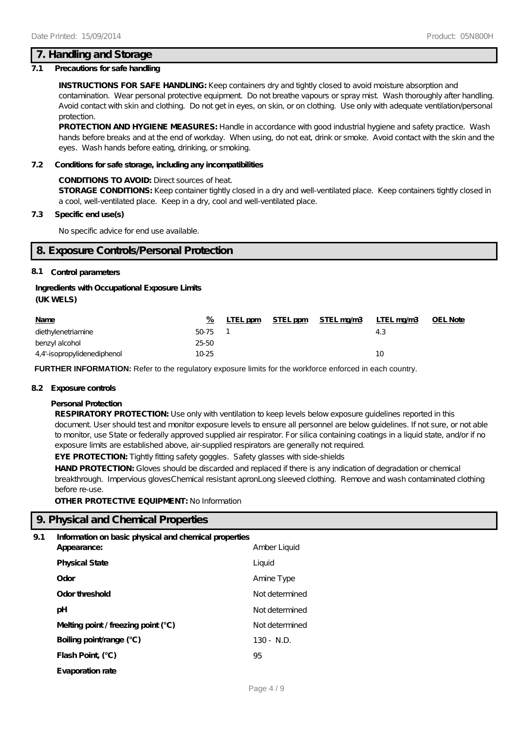### **7. Handling and Storage**

#### **7.1 Precautions for safe handling**

**INSTRUCTIONS FOR SAFE HANDLING:** Keep containers dry and tightly closed to avoid moisture absorption and contamination. Wear personal protective equipment. Do not breathe vapours or spray mist. Wash thoroughly after handling. Avoid contact with skin and clothing. Do not get in eyes, on skin, or on clothing. Use only with adequate ventilation/personal protection.

**PROTECTION AND HYGIENE MEASURES:** Handle in accordance with good industrial hygiene and safety practice. Wash hands before breaks and at the end of workday. When using, do not eat, drink or smoke. Avoid contact with the skin and the eyes. Wash hands before eating, drinking, or smoking.

#### **7.2 Conditions for safe storage, including any incompatibilities**

#### **CONDITIONS TO AVOID:** Direct sources of heat.

**STORAGE CONDITIONS:** Keep container tightly closed in a dry and well-ventilated place. Keep containers tightly closed in a cool, well-ventilated place. Keep in a dry, cool and well-ventilated place.

### **7.3 Specific end use(s)**

No specific advice for end use available.

### **8. Exposure Controls/Personal Protection**

#### **8.1 Control parameters**

#### **Ingredients with Occupational Exposure Limits**

#### **(UK WELS)**

| <b>Name</b>                 | %         | LTEL ppm | STEL ppm STEL mg/m3 | LTEL mg/m3 | <b>OEL Note</b> |
|-----------------------------|-----------|----------|---------------------|------------|-----------------|
| diethylenetriamine          | $50-75$ 1 |          |                     | 4.3        |                 |
| benzyl alcohol              | 25-50     |          |                     |            |                 |
| 4,4'-isopropylidenediphenol | 10-25     |          |                     | 10         |                 |

**FURTHER INFORMATION:** Refer to the regulatory exposure limits for the workforce enforced in each country.

#### **8.2 Exposure controls**

#### **Personal Protection**

**RESPIRATORY PROTECTION:** Use only with ventilation to keep levels below exposure guidelines reported in this document. User should test and monitor exposure levels to ensure all personnel are below guidelines. If not sure, or not able to monitor, use State or federally approved supplied air respirator. For silica containing coatings in a liquid state, and/or if no exposure limits are established above, air-supplied respirators are generally not required.

**EYE PROTECTION:** Tightly fitting safety goggles. Safety glasses with side-shields

HAND PROTECTION: Gloves should be discarded and replaced if there is any indication of degradation or chemical breakthrough. Impervious glovesChemical resistant apronLong sleeved clothing. Remove and wash contaminated clothing before re-use.

**OTHER PROTECTIVE EQUIPMENT:** No Information

### **9. Physical and Chemical Properties**

#### **9.1 Information on basic physical and chemical properties**

| Appearance:                           | Amber Liquid   |
|---------------------------------------|----------------|
| <b>Physical State</b>                 | Liquid         |
| Odor                                  | Amine Type     |
| Odor threshold                        | Not determined |
| рH                                    | Not determined |
| Melting point / freezing point $(°C)$ | Not determined |
| Boiling point/range (°C)              | $130 - N.D.$   |
| Flash Point, (°C)                     | 95             |
| Evaporation rate                      |                |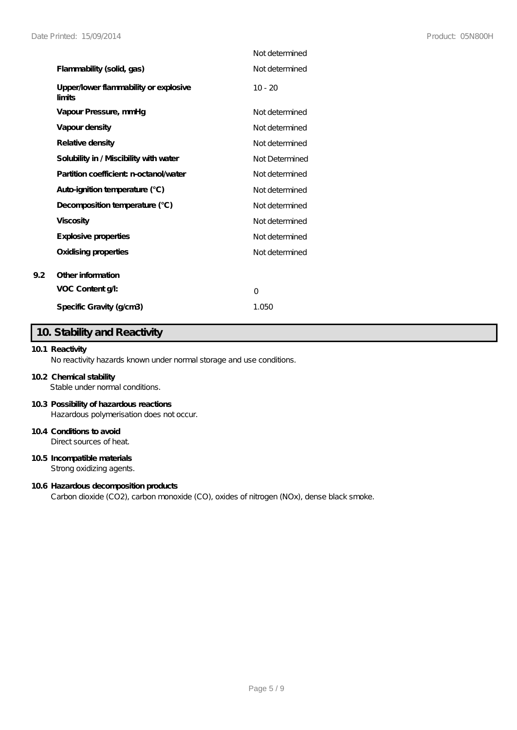|                                                 | Not determined |
|-------------------------------------------------|----------------|
| Flammability (solid, gas)                       | Not determined |
| Upper/lower flammability or explosive<br>limits | $10 - 20$      |
| Vapour Pressure, mmHg                           | Not determined |
| Vapour density                                  | Not determined |
| Relative density                                | Not determined |
| Solubility in / Miscibility with water          | Not Determined |
| Partition coefficient n-octanol/water           | Not determined |
| Auto-ignition temperature (°C)                  | Not determined |
| Decomposition temperature (°C)                  | Not determined |
| <b>Viscosity</b>                                | Not determined |
| Explosive properties                            | Not determined |
| Oxidising properties                            | Not determined |
| Other information                               |                |
| VOC Content g/l:                                | $\Omega$       |
| Specific Gravity (g/cm3)                        | 1.050          |

# **10. Stability and Reactivity**

### **10.1 Reactivity**

**9.2 Other information**

No reactivity hazards known under normal storage and use conditions.

#### **10.2 Chemical stability**

Stable under normal conditions.

### **10.3 Possibility of hazardous reactions**

Hazardous polymerisation does not occur.

### **10.4 Conditions to avoid**

Direct sources of heat.

### **10.5 Incompatible materials**

Strong oxidizing agents.

#### **10.6 Hazardous decomposition products**

Carbon dioxide (CO2), carbon monoxide (CO), oxides of nitrogen (NOx), dense black smoke.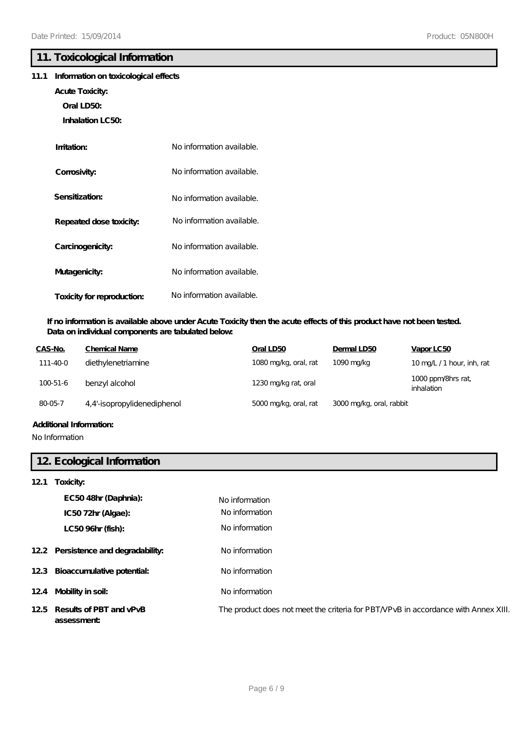### **11. Toxicological Information**

### **11.1 Information on toxicological effects**

- **Acute Toxicity:**
	- **Oral LD50:**
	- **Inhalation LC50:**

| Imitation:                 | No information available. |
|----------------------------|---------------------------|
| Corrosivity:               | No information available. |
| Sensitization:             | No information available. |
| Repeated dose toxicity:    | No information available. |
| Carcinogenicity:           | No information available. |
| Mutagenicity:              | No information available. |
| Toxicity for reproduction: | No information available. |

### **If no information is available above under Acute Toxicity then the acute effects of this product have not been tested. Data on individual components are tabulated below:**

| CAS-No.        | Chemical Name               | Oral LD50             | Dermal LD50              | Vapor LC50                      |
|----------------|-----------------------------|-----------------------|--------------------------|---------------------------------|
| 111-40-0       | diethylenetriamine          | 1080 mg/kg, oral, rat | 1090 mg/kg               | 10 mg/L /1 hour, inh, rat       |
| $100 - 51 - 6$ | benzyl alcohol              | 1230 mg/kg rat, oral  |                          | 1000 ppm/8hrs rat<br>inhalation |
| 80-05-7        | 4,4'-isopropylidenediphenol | 5000 mg/kg, oral, rat | 3000 mg/kg, oral, rabbit |                                 |
|                |                             |                       |                          |                                 |

### **Additional Information:**

No Information

### **12. Ecological Information**

### **12.1 Toxicity:**

| EC5048hr (Daphnia):<br>IC5072hr (Algae):  | No information<br>No information                                                   |
|-------------------------------------------|------------------------------------------------------------------------------------|
| LC50 96hr (fish):                         | No information                                                                     |
| 12.2 Persistence and degradability:       | No information                                                                     |
| 12.3 Bioaccumulative potential:           | No information                                                                     |
| 124 Mobility in soil:                     | No information                                                                     |
| 125 Results of PBT and vPvB<br>assessment | The product does not meet the criteria for PBT/VPvB in accordance with Annex XIII. |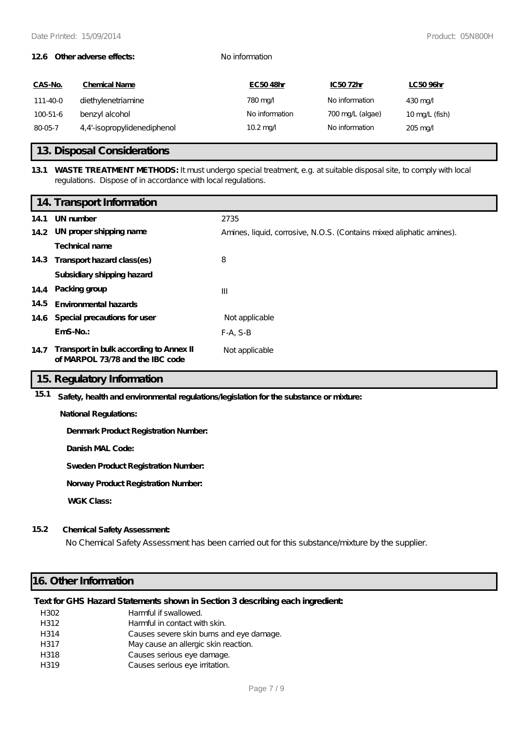#### **12.6 Other adverse effects:** No information

| CAS-No.  | <b>Chemical Name</b>        | EC5048hr           | IC5072hr         | LC5096hr                 |
|----------|-----------------------------|--------------------|------------------|--------------------------|
| 111-40-0 | diethylenetriamine          | 780 mg/            | No information   | $430 \,\mathrm{mag}$     |
| 100-51-6 | benzyl alcohol              | No information     | 700 mg/L (algae) | $10 \text{ mg/L}$ (fish) |
| 80-05-7  | 4,4'-isopropylidenediphenol | $10.2 \text{ mag}$ | No information   | $205 \,\mathrm{mag}$     |

### **13. Disposal Considerations**

### **13.1 WASTE TREATMENT METHODS:** It must undergo special treatment, e.g. at suitable disposal site, to comply with local regulations. Dispose of in accordance with local regulations.

|      | 14. Transport Information                                                   |                                                                      |
|------|-----------------------------------------------------------------------------|----------------------------------------------------------------------|
| 14.1 | UN number                                                                   | 2735                                                                 |
|      | 14.2 UN proper shipping name                                                | Amines, liquid, corrosive, N.O.S. (Contains mixed aliphatic amines). |
|      | Technical name                                                              |                                                                      |
| 14.3 | Transport hazard class(es)                                                  | 8                                                                    |
|      | Subsidiary shipping hazard                                                  |                                                                      |
|      | 14.4 Packing group                                                          | $\mathbf{III}$                                                       |
| 14.5 | <b>Environmental hazards</b>                                                |                                                                      |
| 14.6 | Special precautions for user                                                | Not applicable                                                       |
|      | $EmS-No$ .:                                                                 | $F-A, S-B$                                                           |
| 14.7 | Transport in bulk according to Annex II<br>of MARPOL 73/78 and the IBC code | Not applicable                                                       |

### **15. Regulatory Information**

**15.1 Safety, health and environmental regulations/legislation for the substance or mixture:**

**National Regulations:**

**Denmark Product Registration Number:**

**Danish MAL Code:**

**Sweden Product Registration Number:**

**Norway Product Registration Number:**

**WGK Class:**

### **15.2 Chemical Safety Assessment:**

No Chemical Safety Assessment has been carried out for this substance/mixture by the supplier.

### **16. Other Information**

### **Text for GHS Hazard Statements shown in Section 3 describing each ingredient:**

| H302 | Harmful if swallowed.                    |
|------|------------------------------------------|
| H312 | Harmful in contact with skin.            |
| H314 | Causes severe skin burns and eye damage. |
| H317 | May cause an allergic skin reaction.     |
| H318 | Causes serious eye damage.               |
| H319 | Causes serious eye irritation.           |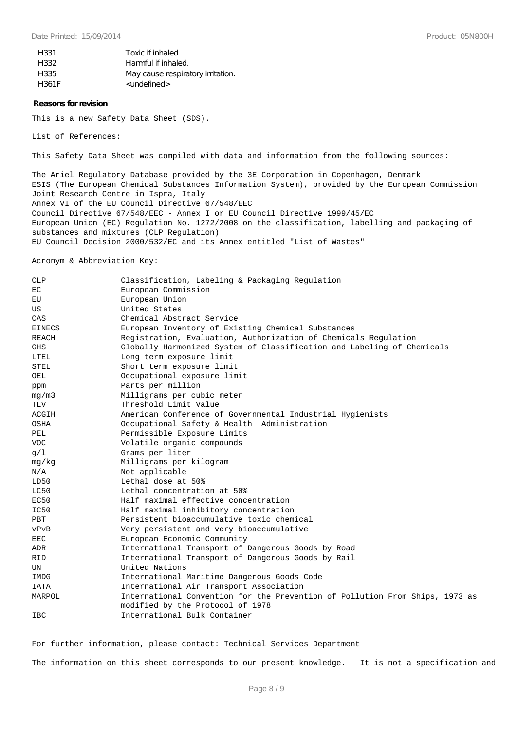| H331  | Toxic if inhaled.                 |
|-------|-----------------------------------|
| H332  | Harmful if inhaled.               |
| H335  | May cause respiratory irritation. |
| H361F | <undefined></undefined>           |

#### **Reasons for revision**

This is a new Safety Data Sheet (SDS).

List of References:

This Safety Data Sheet was compiled with data and information from the following sources:

The Ariel Regulatory Database provided by the 3E Corporation in Copenhagen, Denmark ESIS (The European Chemical Substances Information System), provided by the European Commission Joint Research Centre in Ispra, Italy Annex VI of the EU Council Directive 67/548/EEC Council Directive 67/548/EEC - Annex I or EU Council Directive 1999/45/EC European Union (EC) Regulation No. 1272/2008 on the classification, labelling and packaging of substances and mixtures (CLP Regulation) EU Council Decision 2000/532/EC and its Annex entitled "List of Wastes"

Acronym & Abbreviation Key:

| CLP           | Classification, Labeling & Packaging Regulation                              |  |
|---------------|------------------------------------------------------------------------------|--|
| EC            | European Commission                                                          |  |
| EU            | European Union                                                               |  |
| US            | United States                                                                |  |
| CAS           | Chemical Abstract Service                                                    |  |
| <b>EINECS</b> | European Inventory of Existing Chemical Substances                           |  |
| REACH         | Registration, Evaluation, Authorization of Chemicals Regulation              |  |
| <b>GHS</b>    | Globally Harmonized System of Classification and Labeling of Chemicals       |  |
| LTEL          | Long term exposure limit                                                     |  |
| <b>STEL</b>   | Short term exposure limit                                                    |  |
| OEL           | Occupational exposure limit                                                  |  |
| ppm           | Parts per million                                                            |  |
| mq/m3         | Milligrams per cubic meter                                                   |  |
| <b>TLV</b>    | Threshold Limit Value                                                        |  |
| ACGIH         | American Conference of Governmental Industrial Hygienists                    |  |
| OSHA          | Occupational Safety & Health Administration                                  |  |
| PEL           | Permissible Exposure Limits                                                  |  |
| VOC.          | Volatile organic compounds                                                   |  |
| g/1           | Grams per liter                                                              |  |
| mg/kg         | Milligrams per kilogram                                                      |  |
| N/A           | Not applicable                                                               |  |
| LD50          | Lethal dose at 50%                                                           |  |
| LC50          | Lethal concentration at 50%                                                  |  |
| EC50          | Half maximal effective concentration                                         |  |
| IC50          | Half maximal inhibitory concentration                                        |  |
| PBT           | Persistent bioaccumulative toxic chemical                                    |  |
| vPvB          | Very persistent and very bioaccumulative                                     |  |
| <b>EEC</b>    | European Economic Community                                                  |  |
| ADR           | International Transport of Dangerous Goods by Road                           |  |
| RID           | International Transport of Dangerous Goods by Rail                           |  |
| UN            | United Nations                                                               |  |
| IMDG          | International Maritime Dangerous Goods Code                                  |  |
| <b>IATA</b>   | International Air Transport Association                                      |  |
| MARPOL        | International Convention for the Prevention of Pollution From Ships, 1973 as |  |
|               | modified by the Protocol of 1978                                             |  |
| <b>IBC</b>    | International Bulk Container                                                 |  |

For further information, please contact: Technical Services Department

The information on this sheet corresponds to our present knowledge. It is not a specification and